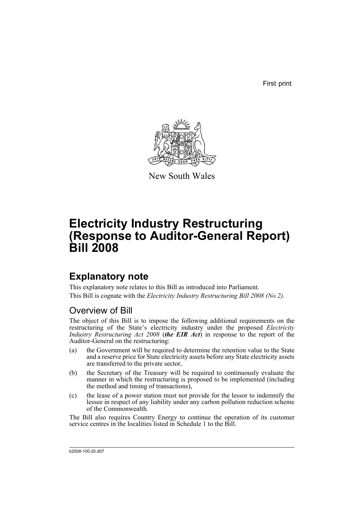First print



New South Wales

# **Electricity Industry Restructuring (Response to Auditor-General Report) Bill 2008**

## **Explanatory note**

This explanatory note relates to this Bill as introduced into Parliament. This Bill is cognate with the *Electricity Industry Restructuring Bill 2008 (No 2)*.

### Overview of Bill

The object of this Bill is to impose the following additional requirements on the restructuring of the State's electricity industry under the proposed *Electricity Industry Restructuring Act 2008* (*the EIR Act*) in response to the report of the Auditor-General on the restructuring:

- (a) the Government will be required to determine the retention value to the State and a reserve price for State electricity assets before any State electricity assets are transferred to the private sector,
- (b) the Secretary of the Treasury will be required to continuously evaluate the manner in which the restructuring is proposed to be implemented (including the method and timing of transactions),
- (c) the lease of a power station must not provide for the lessor to indemnify the lessee in respect of any liability under any carbon pollution reduction scheme of the Commonwealth.

The Bill also requires Country Energy to continue the operation of its customer service centres in the localities listed in Schedule 1 to the Bill.

b2008-100-20.d07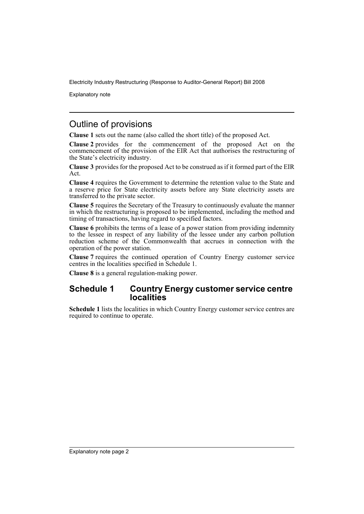Electricity Industry Restructuring (Response to Auditor-General Report) Bill 2008

Explanatory note

### Outline of provisions

**Clause 1** sets out the name (also called the short title) of the proposed Act.

**Clause 2** provides for the commencement of the proposed Act on the commencement of the provision of the EIR Act that authorises the restructuring of the State's electricity industry.

**Clause 3** provides for the proposed Act to be construed as if it formed part of the EIR Act.

**Clause 4** requires the Government to determine the retention value to the State and a reserve price for State electricity assets before any State electricity assets are transferred to the private sector.

**Clause 5** requires the Secretary of the Treasury to continuously evaluate the manner in which the restructuring is proposed to be implemented, including the method and timing of transactions, having regard to specified factors.

**Clause 6** prohibits the terms of a lease of a power station from providing indemnity to the lessee in respect of any liability of the lessee under any carbon pollution reduction scheme of the Commonwealth that accrues in connection with the operation of the power station.

**Clause 7** requires the continued operation of Country Energy customer service centres in the localities specified in Schedule 1.

**Clause 8** is a general regulation-making power.

#### **Schedule 1 Country Energy customer service centre localities**

**Schedule 1** lists the localities in which Country Energy customer service centres are required to continue to operate.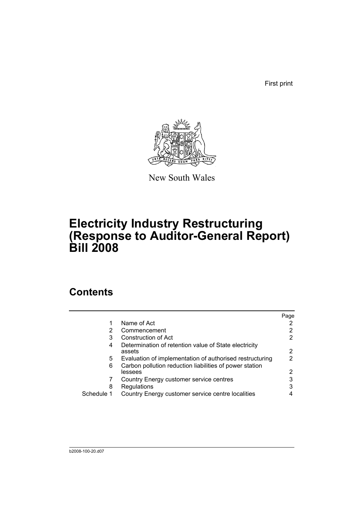First print



New South Wales

# **Electricity Industry Restructuring (Response to Auditor-General Report) Bill 2008**

## **Contents**

|            |                                                                    | Page |
|------------|--------------------------------------------------------------------|------|
|            | Name of Act                                                        |      |
| 2          | Commencement                                                       |      |
| 3          | Construction of Act                                                | 2    |
| 4          | Determination of retention value of State electricity<br>assets    | 2    |
| 5          | Evaluation of implementation of authorised restructuring           | 2    |
| 6          | Carbon pollution reduction liabilities of power station<br>lessees | 2    |
|            | Country Energy customer service centres                            | 3    |
| 8          | Regulations                                                        | 3    |
| Schedule 1 | Country Energy customer service centre localities                  |      |
|            |                                                                    |      |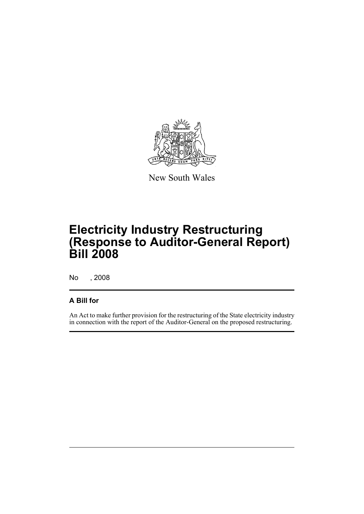

New South Wales

# **Electricity Industry Restructuring (Response to Auditor-General Report) Bill 2008**

No , 2008

#### **A Bill for**

An Act to make further provision for the restructuring of the State electricity industry in connection with the report of the Auditor-General on the proposed restructuring.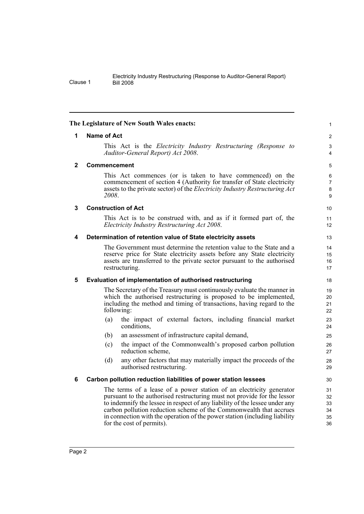| Electricity Industry Restructuring (Response to Auditor-General Report) |
|-------------------------------------------------------------------------|
| <b>Bill 2008</b>                                                        |

<span id="page-5-5"></span><span id="page-5-4"></span><span id="page-5-3"></span><span id="page-5-2"></span><span id="page-5-1"></span><span id="page-5-0"></span>

|             | The Legislature of New South Wales enacts:                                                                                                                                                                                                                                                                                                                                                                      |                                  |
|-------------|-----------------------------------------------------------------------------------------------------------------------------------------------------------------------------------------------------------------------------------------------------------------------------------------------------------------------------------------------------------------------------------------------------------------|----------------------------------|
| 1           | Name of Act                                                                                                                                                                                                                                                                                                                                                                                                     | 2                                |
|             | This Act is the <i>Electricity Industry Restructuring (Response to</i><br>Auditor-General Report) Act 2008.                                                                                                                                                                                                                                                                                                     | 3<br>4                           |
| $\mathbf 2$ | <b>Commencement</b>                                                                                                                                                                                                                                                                                                                                                                                             | 5                                |
|             | This Act commences (or is taken to have commenced) on the<br>commencement of section 4 (Authority for transfer of State electricity<br>assets to the private sector) of the <i>Electricity Industry Restructuring Act</i><br>2008.                                                                                                                                                                              | 6<br>7<br>$\bf 8$<br>9           |
| 3           | <b>Construction of Act</b>                                                                                                                                                                                                                                                                                                                                                                                      | 10                               |
|             | This Act is to be construed with, and as if it formed part of, the<br>Electricity Industry Restructuring Act 2008.                                                                                                                                                                                                                                                                                              | 11<br>12                         |
| 4           | Determination of retention value of State electricity assets                                                                                                                                                                                                                                                                                                                                                    | 13                               |
|             | The Government must determine the retention value to the State and a<br>reserve price for State electricity assets before any State electricity<br>assets are transferred to the private sector pursuant to the authorised<br>restructuring.                                                                                                                                                                    | 14<br>15<br>16<br>17             |
| 5           | Evaluation of implementation of authorised restructuring                                                                                                                                                                                                                                                                                                                                                        | 18                               |
|             | The Secretary of the Treasury must continuously evaluate the manner in<br>which the authorised restructuring is proposed to be implemented,<br>including the method and timing of transactions, having regard to the<br>following:                                                                                                                                                                              | 19<br>20<br>21<br>22             |
|             | the impact of external factors, including financial market<br>(a)<br>conditions,                                                                                                                                                                                                                                                                                                                                | 23<br>24                         |
|             | (b)<br>an assessment of infrastructure capital demand,                                                                                                                                                                                                                                                                                                                                                          | 25                               |
|             | the impact of the Commonwealth's proposed carbon pollution<br>(c)<br>reduction scheme,                                                                                                                                                                                                                                                                                                                          | 26<br>27                         |
|             | (d)<br>any other factors that may materially impact the proceeds of the<br>authorised restructuring.                                                                                                                                                                                                                                                                                                            | 28<br>29                         |
| 6           | Carbon pollution reduction liabilities of power station lessees                                                                                                                                                                                                                                                                                                                                                 | 30                               |
|             | The terms of a lease of a power station of an electricity generator<br>pursuant to the authorised restructuring must not provide for the lessor<br>to indemnify the lessee in respect of any liability of the lessee under any<br>carbon pollution reduction scheme of the Commonwealth that accrues<br>in connection with the operation of the power station (including liability<br>for the cost of permits). | 31<br>32<br>33<br>34<br>35<br>36 |

Clause 1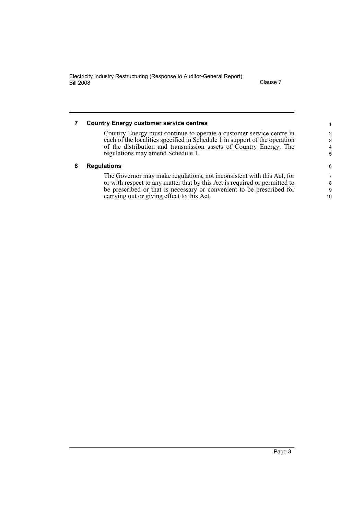Electricity Industry Restructuring (Response to Auditor-General Report) Bill 2008 Clause 7

<span id="page-6-1"></span><span id="page-6-0"></span>

| <b>Country Energy customer service centres</b>                                                                                                     | 1.     |
|----------------------------------------------------------------------------------------------------------------------------------------------------|--------|
| Country Energy must continue to operate a customer service centre in<br>each of the localities specified in Schedule 1 in support of the operation | 2<br>3 |
| of the distribution and transmission assets of Country Energy. The                                                                                 | 4      |
| regulations may amend Schedule 1.                                                                                                                  | 5      |
| <b>Regulations</b>                                                                                                                                 | 6      |
| The Governor may make regulations, not inconsistent with this Act, for                                                                             | 7      |
| or with respect to any matter that by this Act is required or permitted to                                                                         | 8      |
| be prescribed or that is necessary or convenient to be prescribed for                                                                              | 9      |
| carrying out or giving effect to this Act.                                                                                                         | 10     |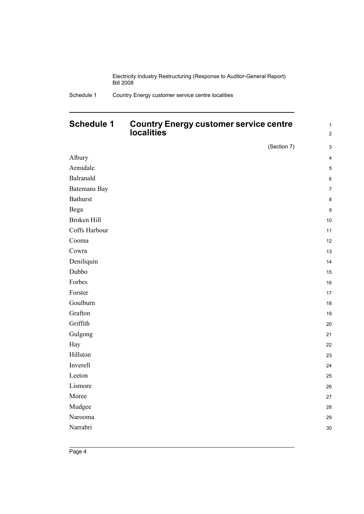Electricity Industry Restructuring (Response to Auditor-General Report) Bill 2008

#### <span id="page-7-0"></span>**Schedule 1 Country Energy customer service centre localities**

1 2

|                     | (Section 7) | $\ensuremath{\mathsf{3}}$ |
|---------------------|-------------|---------------------------|
| Albury              |             | $\overline{\mathbf{4}}$   |
| Armidale            |             | $\mathbf 5$               |
| Balranald           |             | $\,6\,$                   |
| <b>Batemans Bay</b> |             | $\boldsymbol{7}$          |
| <b>Bathurst</b>     |             | $\bf 8$                   |
| Bega                |             | $\boldsymbol{9}$          |
| Broken Hill         |             | $10\,$                    |
| Coffs Harbour       |             | 11                        |
| Cooma               |             | 12                        |
| Cowra               |             | 13                        |
| Deniliquin          |             | 14                        |
| Dubbo               |             | 15                        |
| Forbes              |             | $16\,$                    |
| Forster             |             | $17\,$                    |
| Goulburn            |             | 18                        |
| Grafton             |             | $19$                      |
| Griffith            |             | 20                        |
| Gulgong             |             | 21                        |
| Hay                 |             | 22                        |
| Hillston            |             | 23                        |
| Inverell            |             | 24                        |
| Leeton              |             | 25                        |
| Lismore             |             | 26                        |
| Moree               |             | 27                        |
| Mudgee              |             | 28                        |
| Narooma             |             | 29                        |
| Narrabri            |             | $30\,$                    |
|                     |             |                           |